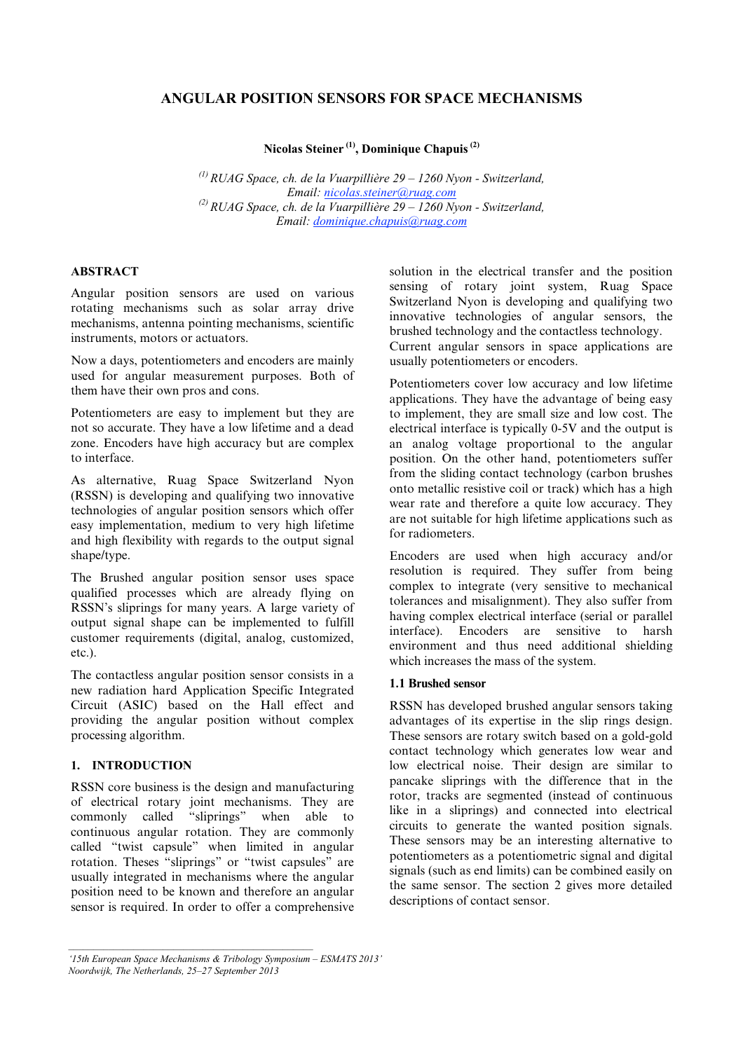# **ANGULAR POSITION SENSORS FOR SPACE MECHANISMS**

**Nicolas Steiner (1), Dominique Chapuis (2)**

*(1) RUAG Space, ch. de la Vuarpillière 29 – 1260 Nyon - Switzerland, Email: nicolas.steiner@ruag.com (2) RUAG Space, ch. de la Vuarpillière 29 – 1260 Nyon - Switzerland, Email: dominique.chapuis@ruag.com*

## **ABSTRACT**

Angular position sensors are used on various rotating mechanisms such as solar array drive mechanisms, antenna pointing mechanisms, scientific instruments, motors or actuators.

Now a days, potentiometers and encoders are mainly used for angular measurement purposes. Both of them have their own pros and cons.

Potentiometers are easy to implement but they are not so accurate. They have a low lifetime and a dead zone. Encoders have high accuracy but are complex to interface.

As alternative, Ruag Space Switzerland Nyon (RSSN) is developing and qualifying two innovative technologies of angular position sensors which offer easy implementation, medium to very high lifetime and high flexibility with regards to the output signal shape/type.

The Brushed angular position sensor uses space qualified processes which are already flying on RSSN's sliprings for many years. A large variety of output signal shape can be implemented to fulfill customer requirements (digital, analog, customized, etc.).

The contactless angular position sensor consists in a new radiation hard Application Specific Integrated Circuit (ASIC) based on the Hall effect and providing the angular position without complex processing algorithm.

### **1. INTRODUCTION**

RSSN core business is the design and manufacturing of electrical rotary joint mechanisms. They are<br>commonly called "sliprings" when able to commonly called continuous angular rotation. They are commonly called "twist capsule" when limited in angular rotation. Theses "sliprings" or "twist capsules" are usually integrated in mechanisms where the angular position need to be known and therefore an angular sensor is required. In order to offer a comprehensive solution in the electrical transfer and the position sensing of rotary joint system, Ruag Space Switzerland Nyon is developing and qualifying two innovative technologies of angular sensors, the brushed technology and the contactless technology. Current angular sensors in space applications are usually potentiometers or encoders.

Potentiometers cover low accuracy and low lifetime applications. They have the advantage of being easy to implement, they are small size and low cost. The electrical interface is typically 0-5V and the output is an analog voltage proportional to the angular position. On the other hand, potentiometers suffer from the sliding contact technology (carbon brushes onto metallic resistive coil or track) which has a high wear rate and therefore a quite low accuracy. They are not suitable for high lifetime applications such as for radiometers.

Encoders are used when high accuracy and/or resolution is required. They suffer from being complex to integrate (very sensitive to mechanical tolerances and misalignment). They also suffer from having complex electrical interface (serial or parallel interface). Encoders are sensitive to harsh environment and thus need additional shielding which increases the mass of the system.

## **1.1 Brushed sensor**

RSSN has developed brushed angular sensors taking advantages of its expertise in the slip rings design. These sensors are rotary switch based on a gold-gold contact technology which generates low wear and low electrical noise. Their design are similar to pancake sliprings with the difference that in the rotor, tracks are segmented (instead of continuous like in a sliprings) and connected into electrical circuits to generate the wanted position signals. These sensors may be an interesting alternative to potentiometers as a potentiometric signal and digital signals (such as end limits) can be combined easily on the same sensor. The section 2 gives more detailed descriptions of contact sensor.

*<sup>&#</sup>x27;15th European Space Mechanisms & Tribology Symposium – ESMATS 2013' Noordwijk, The Netherlands, 25–27 September 2013*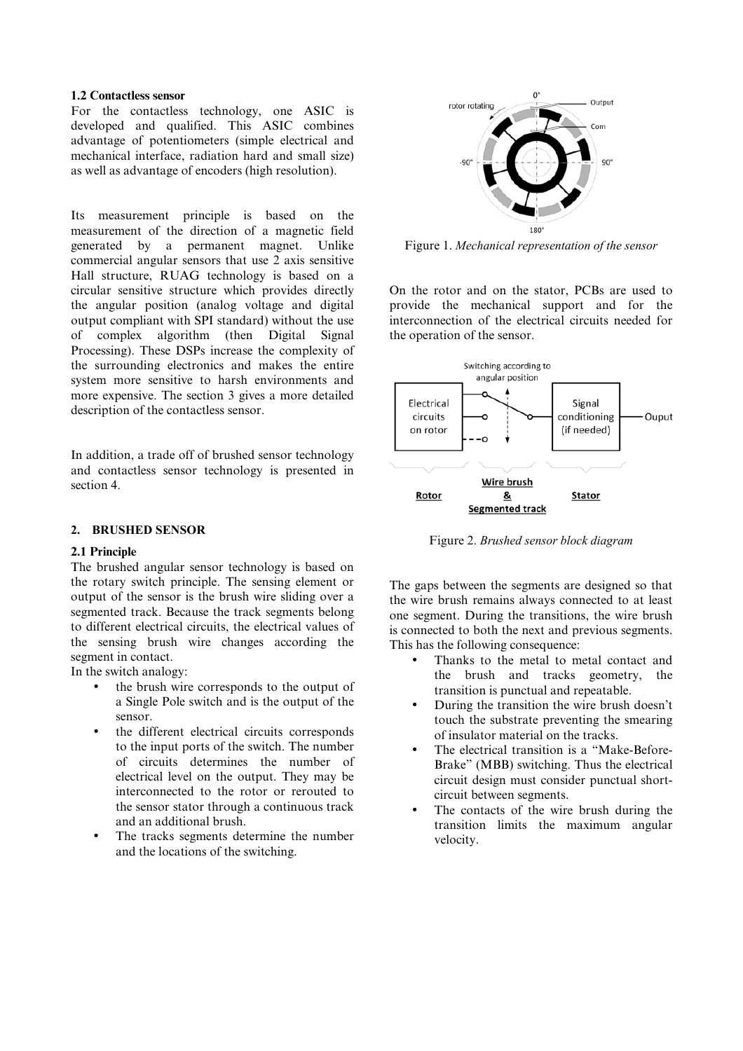### **1.2 Contactless sensor**

For the contactless technology, one ASIC is developed and qualified. This ASIC combines advantage of potentiometers (simple electrical and mechanical interface, radiation hard and small size) as well as advantage of encoders (high resolution).

Its measurement principle is based on the measurement of the direction of a magnetic field generated by a permanent magnet. Unlike commercial angular sensors that use 2 axis sensitive Hall structure, RUAG technology is based on a circular sensitive structure which provides directly the angular position (analog voltage and digital output compliant with SPI standard) without the use of complex algorithm (then Digital Signal Processing). These DSPs increase the complexity of the surrounding electronics and makes the entire system more sensitive to harsh environments and more expensive. The section 3 gives a more detailed description of the contactless sensor.

In addition, a trade off of brushed sensor technology and contactless sensor technology is presented in section 4.

### **2. BRUSHED SENSOR**

### **2.1 Principle**

The brushed angular sensor technology is based on the rotary switch principle. The sensing element or output of the sensor is the brush wire sliding over a segmented track. Because the track segments belong to different electrical circuits, the electrical values of the sensing brush wire changes according the segment in contact.

In the switch analogy:

- the brush wire corresponds to the output of a Single Pole switch and is the output of the sensor.
- the different electrical circuits corresponds to the input ports of the switch. The number of circuits determines the number of electrical level on the output. They may be interconnected to the rotor or rerouted to the sensor stator through a continuous track and an additional brush.
- The tracks segments determine the number and the locations of the switching.



Figure 1. *Mechanical representation of the sensor* 

On the rotor and on the stator, PCBs are used to provide the mechanical support and for the interconnection of the electrical circuits needed for the operation of the sensor.



Figure 2. *Brushed sensor block diagram* 

The gaps between the segments are designed so that the wire brush remains always connected to at least one segment. During the transitions, the wire brush is connected to both the next and previous segments. This has the following consequence:

- Thanks to the metal to metal contact and the brush and tracks geometry, the transition is punctual and repeatable.
- During the transition the wire brush doesn't touch the substrate preventing the smearing of insulator material on the tracks.
- The electrical transition is a "Make-Before-Brake" (MBB) switching. Thus the electrical circuit design must consider punctual shortcircuit between segments.
- The contacts of the wire brush during the transition limits the maximum angular velocity.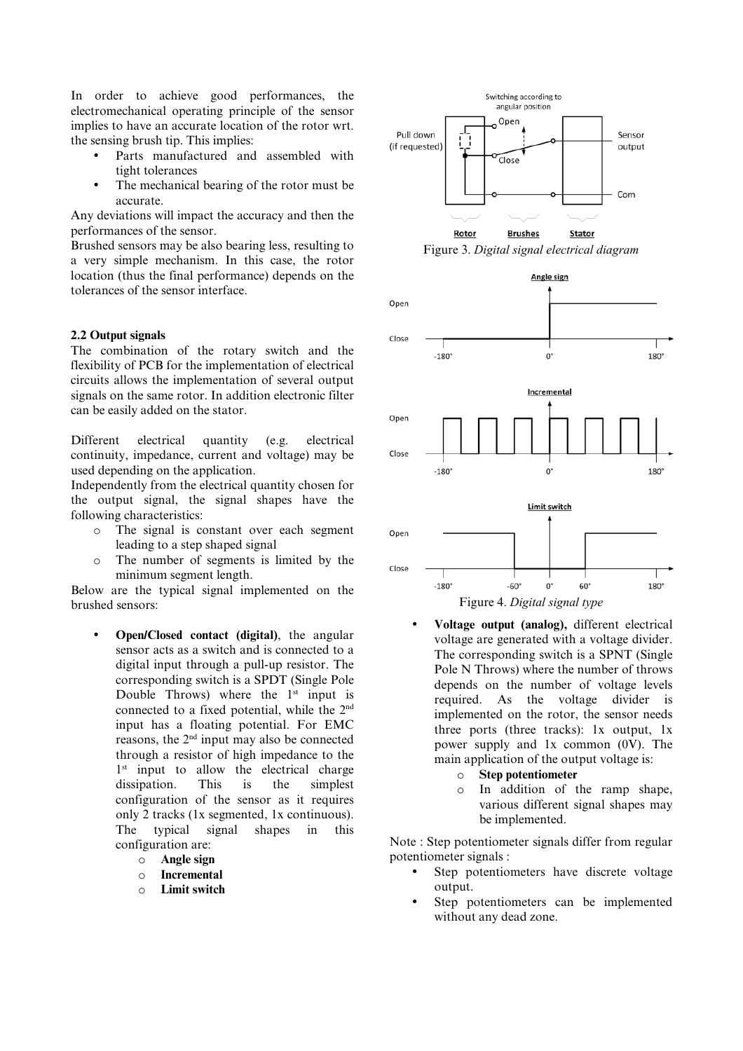In order to achieve good performances, the electromechanical operating principle of the sensor implies to have an accurate location of the rotor wrt. the sensing brush tip. This implies:

- Parts manufactured and assembled with tight tolerances
- The mechanical bearing of the rotor must be accurate.

Any deviations will impact the accuracy and then the performances of the sensor.

Brushed sensors may be also bearing less, resulting to a very simple mechanism. In this case, the rotor location (thus the final performance) depends on the tolerances of the sensor interface.

#### **2.2 Output signals**

The combination of the rotary switch and the flexibility of PCB for the implementation of electrical circuits allows the implementation of several output signals on the same rotor. In addition electronic filter can be easily added on the stator.

Different electrical quantity (e.g. electrical continuity, impedance, current and voltage) may be used depending on the application.

Independently from the electrical quantity chosen for the output signal, the signal shapes have the following characteristics:

- o The signal is constant over each segment leading to a step shaped signal
- o The number of segments is limited by the minimum segment length.

Below are the typical signal implemented on the brushed sensors:

- **Open/Closed contact (digital)**, the angular sensor acts as a switch and is connected to a digital input through a pull-up resistor. The corresponding switch is a SPDT (Single Pole Double Throws) where the  $1<sup>st</sup>$  input is connected to a fixed potential, while the 2nd input has a floating potential. For EMC reasons, the 2nd input may also be connected through a resistor of high impedance to the 1<sup>st</sup> input to allow the electrical charge dissipation. This is the simplest configuration of the sensor as it requires only 2 tracks (1x segmented, 1x continuous). The typical signal shapes in this configuration are:
	- o **Angle sign**
	- o **Incremental**
	- o **Limit switch**



Figure 3. *Digital signal electrical diagram* 



- **Voltage output (analog),** different electrical voltage are generated with a voltage divider. The corresponding switch is a SPNT (Single Pole N Throws) where the number of throws depends on the number of voltage levels required. As the voltage divider is implemented on the rotor, the sensor needs three ports (three tracks): 1x output, 1x power supply and 1x common (0V). The main application of the output voltage is:
	- o **Step potentiometer**
	- o In addition of the ramp shape, various different signal shapes may be implemented.

Note : Step potentiometer signals differ from regular potentiometer signals :

- Step potentiometers have discrete voltage output.
- Step potentiometers can be implemented without any dead zone.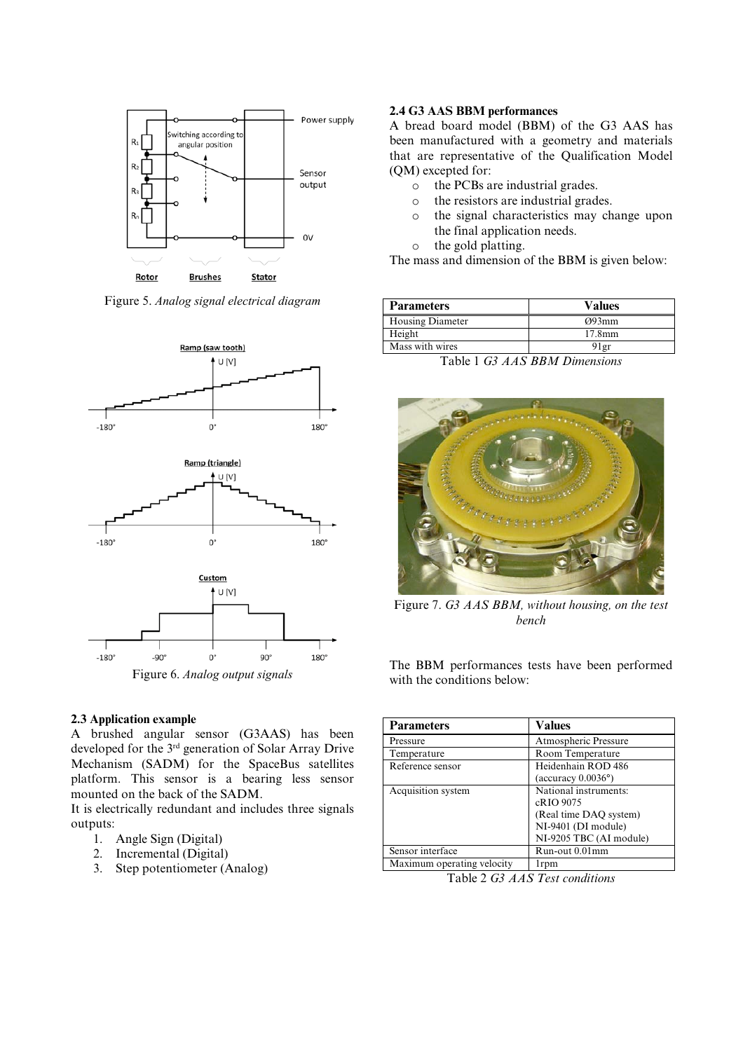

Figure 5. *Analog signal electrical diagram* 



### **2.3 Application example**

A brushed angular sensor (G3AAS) has been developed for the 3rd generation of Solar Array Drive Mechanism (SADM) for the SpaceBus satellites platform. This sensor is a bearing less sensor mounted on the back of the SADM.

It is electrically redundant and includes three signals outputs:

- 1. Angle Sign (Digital)
- 2. Incremental (Digital)
- 3. Step potentiometer (Analog)

## **2.4 G3 AAS BBM performances**

A bread board model (BBM) of the G3 AAS has been manufactured with a geometry and materials that are representative of the Qualification Model (QM) excepted for:

- o the PCBs are industrial grades.
- o the resistors are industrial grades.
- o the signal characteristics may change upon the final application needs.
- o the gold platting.

The mass and dimension of the BBM is given below:

| <b>Parameters</b>       | <b>Values</b>      |
|-------------------------|--------------------|
| <b>Housing Diameter</b> | $O$ 93mm           |
| Height                  | 17.8 <sub>mm</sub> |
| Mass with wires         | 91 gr              |

Table 1 *G3 AAS BBM Dimensions*



Figure 7. *G3 AAS BBM, without housing, on the test bench*

The BBM performances tests have been performed with the conditions below:

| <b>Parameters</b>          | <b>Values</b>                |  |
|----------------------------|------------------------------|--|
| Pressure                   | Atmospheric Pressure         |  |
| Temperature                | Room Temperature             |  |
| Reference sensor           | Heidenhain ROD 486           |  |
|                            | (accuracy $0.0036^{\circ}$ ) |  |
| Acquisition system         | National instruments:        |  |
|                            | cRIO 9075                    |  |
|                            | (Real time DAQ system)       |  |
|                            | NI-9401 (DI module)          |  |
|                            | NI-9205 TBC (AI module)      |  |
| Sensor interface           | Run-out 0.01mm               |  |
| Maximum operating velocity | 1 <sub>rpm</sub>             |  |
| Table 2C2A4C               |                              |  |

Table 2 *G3 AAS Test conditions*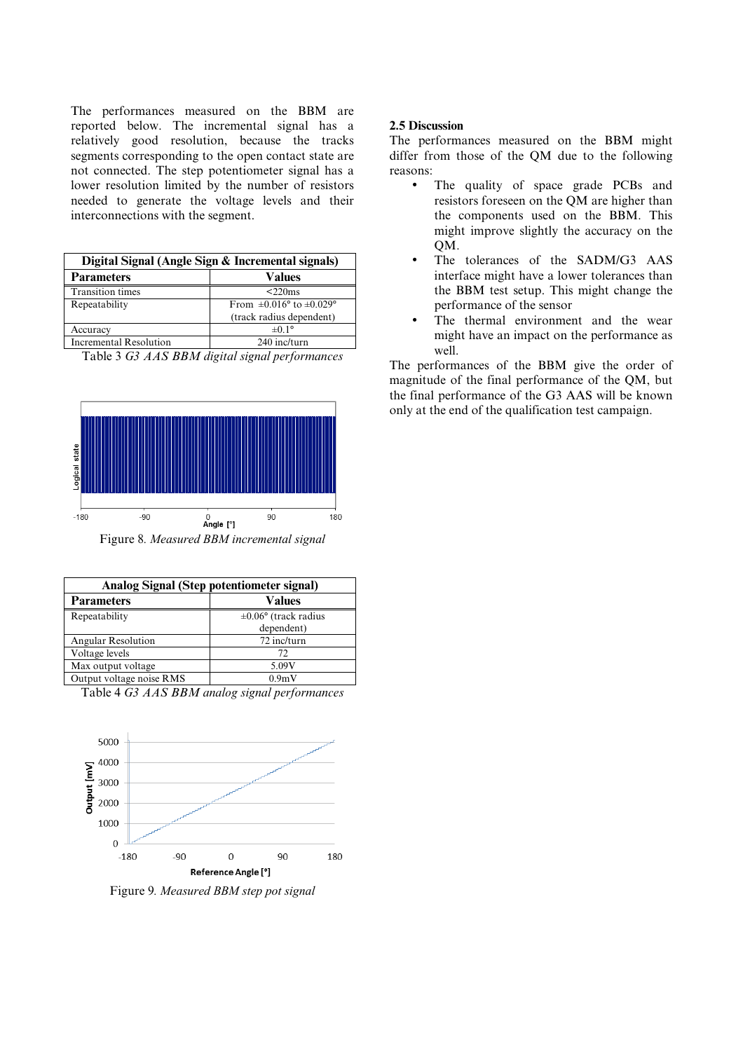The performances measured on the BBM are reported below. The incremental signal has a relatively good resolution, because the tracks segments corresponding to the open contact state are not connected. The step potentiometer signal has a lower resolution limited by the number of resistors needed to generate the voltage levels and their interconnections with the segment.

| Digital Signal (Angle Sign & Incremental signals) |                                                 |  |
|---------------------------------------------------|-------------------------------------------------|--|
| <b>Parameters</b>                                 | Values                                          |  |
| <b>Transition times</b>                           | $<$ 220 $ms$                                    |  |
| Repeatability                                     | From $\pm 0.016^{\circ}$ to $\pm 0.029^{\circ}$ |  |
|                                                   | (track radius dependent)                        |  |
| Accuracy                                          | $\pm 0.1^{\circ}$                               |  |
| Incremental Resolution                            | 240 inc/turn                                    |  |

Table 3 *G3 AAS BBM digital signal performances* 



Figure 8*. Measured BBM incremental signal* 

| Analog Signal (Step potentiometer signal) |                                  |  |
|-------------------------------------------|----------------------------------|--|
| <b>Parameters</b>                         | Values                           |  |
| Repeatability                             | $\pm 0.06^{\circ}$ (track radius |  |
|                                           | dependent)                       |  |
| Angular Resolution                        | 72 inc/turn                      |  |
| Voltage levels                            | 72                               |  |
| Max output voltage                        | 5.09V                            |  |
| Output voltage noise RMS                  | 0.9 <sub>m</sub> V               |  |

Table 4 *G3 AAS BBM analog signal performances*



Figure 9*. Measured BBM step pot signal* 

### **2.5 Discussion**

The performances measured on the BBM might differ from those of the QM due to the following reasons:

- The quality of space grade PCBs and resistors foreseen on the QM are higher than the components used on the BBM. This might improve slightly the accuracy on the OM.
- The tolerances of the SADM/G3 AAS interface might have a lower tolerances than the BBM test setup. This might change the performance of the sensor
- The thermal environment and the wear might have an impact on the performance as well.

The performances of the BBM give the order of magnitude of the final performance of the QM, but the final performance of the G3 AAS will be known only at the end of the qualification test campaign.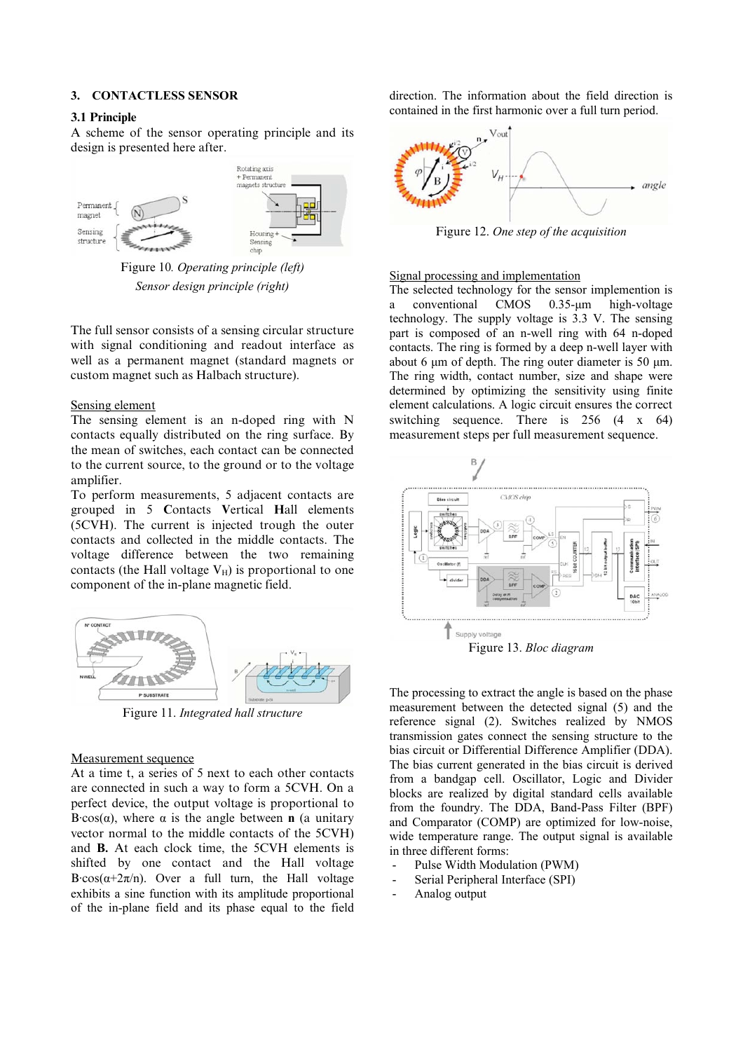### **3. CONTACTLESS SENSOR**

#### **3.1 Principle**

A scheme of the sensor operating principle and its design is presented here after.



Figure 10*. Operating principle (left) Sensor design principle (right)* 

The full sensor consists of a sensing circular structure with signal conditioning and readout interface as well as a permanent magnet (standard magnets or custom magnet such as Halbach structure).

#### Sensing element

The sensing element is an n-doped ring with N contacts equally distributed on the ring surface. By the mean of switches, each contact can be connected to the current source, to the ground or to the voltage amplifier.

To perform measurements, 5 adjacent contacts are grouped in 5 **C**ontacts **V**ertical **H**all elements (5CVH). The current is injected trough the outer contacts and collected in the middle contacts. The voltage difference between the two remaining contacts (the Hall voltage  $V_H$ ) is proportional to one component of the in-plane magnetic field.



Figure 11. *Integrated hall structure*

#### Measurement sequence

At a time t, a series of 5 next to each other contacts are connected in such a way to form a 5CVH. On a perfect device, the output voltage is proportional to B·cos( $\alpha$ ), where  $\alpha$  is the angle between **n** (a unitary vector normal to the middle contacts of the 5CVH) and **B.** At each clock time, the 5CVH elements is shifted by one contact and the Hall voltage B·cos( $\alpha+2\pi/n$ ). Over a full turn, the Hall voltage exhibits a sine function with its amplitude proportional of the in-plane field and its phase equal to the field direction. The information about the field direction is contained in the first harmonic over a full turn period.



Figure 12. *One step of the acquisition*

#### Signal processing and implementation

The selected technology for the sensor implemention is a conventional CMOS 0.35-µm high-voltage technology. The supply voltage is 3.3 V. The sensing part is composed of an n-well ring with 64 n-doped contacts. The ring is formed by a deep n-well layer with about 6  $\mu$ m of depth. The ring outer diameter is 50  $\mu$ m. The ring width, contact number, size and shape were determined by optimizing the sensitivity using finite element calculations. A logic circuit ensures the correct switching sequence. There is 256 (4 x 64) measurement steps per full measurement sequence.



The processing to extract the angle is based on the phase measurement between the detected signal (5) and the reference signal (2). Switches realized by NMOS transmission gates connect the sensing structure to the bias circuit or Differential Difference Amplifier (DDA). The bias current generated in the bias circuit is derived from a bandgap cell. Oscillator, Logic and Divider blocks are realized by digital standard cells available from the foundry. The DDA, Band-Pass Filter (BPF) and Comparator (COMP) are optimized for low-noise, wide temperature range. The output signal is available in three different forms:

- Pulse Width Modulation (PWM)
- Serial Peripheral Interface (SPI)
- Analog output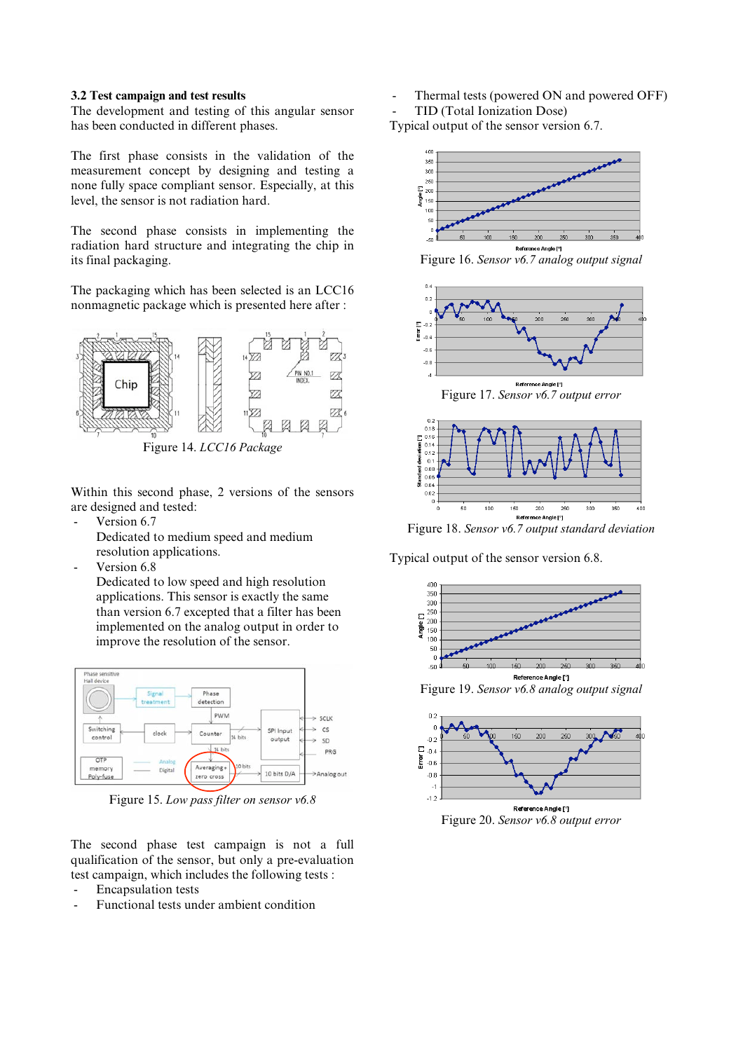#### **3.2 Test campaign and test results**

The development and testing of this angular sensor has been conducted in different phases.

The first phase consists in the validation of the measurement concept by designing and testing a none fully space compliant sensor. Especially, at this level, the sensor is not radiation hard.

The second phase consists in implementing the radiation hard structure and integrating the chip in its final packaging.

The packaging which has been selected is an LCC16 nonmagnetic package which is presented here after :



Figure 14. *LCC16 Package*

Within this second phase, 2 versions of the sensors are designed and tested:

Version 6.7

Dedicated to medium speed and medium resolution applications.

Version 6.8

Dedicated to low speed and high resolution applications. This sensor is exactly the same than version 6.7 excepted that a filter has been implemented on the analog output in order to improve the resolution of the sensor.



Figure 15. *Low pass filter on sensor v6.8*

The second phase test campaign is not a full qualification of the sensor, but only a pre-evaluation test campaign, which includes the following tests :

- Encapsulation tests
- Functional tests under ambient condition

Thermal tests (powered ON and powered OFF) TID (Total Ionization Dose)

Typical output of the sensor version 6.7.



Figure 16. *Sensor v6.7 analog output signal*







Figure 18. *Sensor v6.7 output standard deviation*

Typical output of the sensor version 6.8.





Figure 20. *Sensor v6.8 output error*